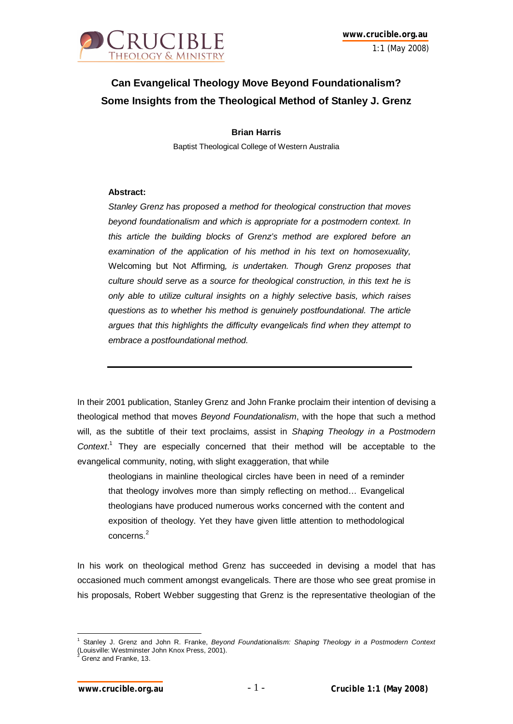

## **Can Evangelical Theology Move Beyond Foundationalism? Some Insights from the Theological Method of Stanley J. Grenz**

**Brian Harris** Baptist Theological College of Western Australia

## **Abstract:**

*Stanley Grenz has proposed a method for theological construction that moves beyond foundationalism and which is appropriate for a postmodern context. In this article the building blocks of Grenz's method are explored before an examination of the application of his method in his text on homosexuality,*  Welcoming but Not Affirming*, is undertaken. Though Grenz proposes that culture should serve as a source for theological construction, in this text he is only able to utilize cultural insights on a highly selective basis, which raises questions as to whether his method is genuinely postfoundational. The article argues that this highlights the difficulty evangelicals find when they attempt to embrace a postfoundational method.*

In their 2001 publication, Stanley Grenz and John Franke proclaim their intention of devising a theological method that moves *Beyond Foundationalism*, with the hope that such a method will, as the subtitle of their text proclaims, assist in *Shaping Theology in a Postmodern Context*. 1 They are especially concerned that their method will be acceptable to the evangelical community, noting, with slight exaggeration, that while

theologians in mainline theological circles have been in need of a reminder that theology involves more than simply reflecting on method… Evangelical theologians have produced numerous works concerned with the content and exposition of theology. Yet they have given little attention to methodological concerns.<sup>2</sup>

In his work on theological method Grenz has succeeded in devising a model that has occasioned much comment amongst evangelicals. There are those who see great promise in his proposals, Robert Webber suggesting that Grenz is the representative theologian of the

 $\overline{\phantom{a}}$ 1 Stanley J. Grenz and John R. Franke, *Beyond Foundationalism: Shaping Theology in a Postmodern Context* (Louisville: Westminster John Knox Press, 2001).<br><sup>2</sup> Creaz and Franke, 13

Grenz and Franke, 13.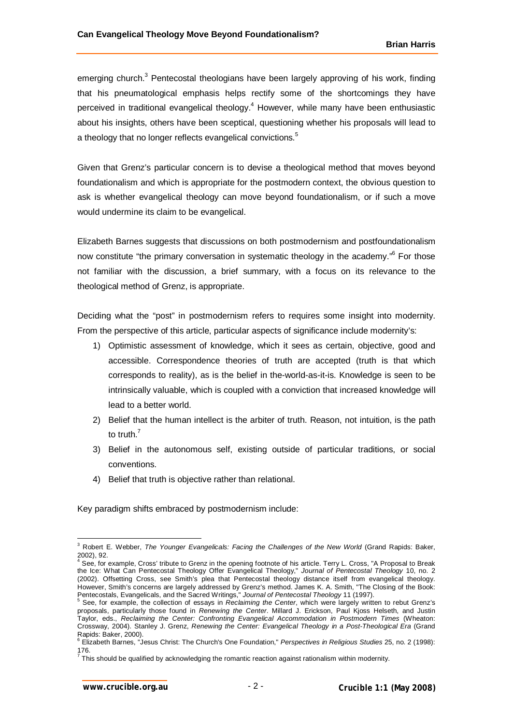emerging church.<sup>3</sup> Pentecostal theologians have been largely approving of his work, finding that his pneumatological emphasis helps rectify some of the shortcomings they have perceived in traditional evangelical theology.<sup>4</sup> However, while many have been enthusiastic about his insights, others have been sceptical, questioning whether his proposals will lead to a theology that no longer reflects evangelical convictions.<sup>5</sup>

Given that Grenz's particular concern is to devise a theological method that moves beyond foundationalism and which is appropriate for the postmodern context, the obvious question to ask is whether evangelical theology can move beyond foundationalism, or if such a move would undermine its claim to be evangelical.

Elizabeth Barnes suggests that discussions on both postmodernism and postfoundationalism now constitute "the primary conversation in systematic theology in the academy."<sup>6</sup> For those not familiar with the discussion, a brief summary, with a focus on its relevance to the theological method of Grenz, is appropriate.

Deciding what the "post" in postmodernism refers to requires some insight into modernity. From the perspective of this article, particular aspects of significance include modernity's:

- 1) Optimistic assessment of knowledge, which it sees as certain, objective, good and accessible. Correspondence theories of truth are accepted (truth is that which corresponds to reality), as is the belief in the-world-as-it-is. Knowledge is seen to be intrinsically valuable, which is coupled with a conviction that increased knowledge will lead to a better world.
- 2) Belief that the human intellect is the arbiter of truth. Reason, not intuition, is the path to truth $<sup>7</sup>$ </sup>
- 3) Belief in the autonomous self, existing outside of particular traditions, or social conventions.
- 4) Belief that truth is objective rather than relational.

Key paradigm shifts embraced by postmodernism include:

<sup>3</sup> Robert E. Webber, *The Younger Evangelicals: Facing the Challenges of the New World* (Grand Rapids: Baker,

<sup>2002), 92.</sup> 4 See, for example, Cross' tribute to Grenz in the opening footnote of his article. Terry L. Cross, "A Proposal to Break the Ice: What Can Pentecostal Theology Offer Evangelical Theology," *Journal of Pentecostal Theology* 10, no. 2 (2002). Offsetting Cross, see Smith's plea that Pentecostal theology distance itself from evangelical theology. However, Smith's concerns are largely addressed by Grenz's method. James K. A. Smith, "The Closing of the Book: Pentecostals, Evangelicals, and the Sacred Writings," *Journal of Pentecostal Theology* 11 (1997). 5

See, for example, the collection of essays in *Reclaiming the Center*, which were largely written to rebut Grenz's proposals, particularly those found in *Renewing the Center*. Millard J. Erickson, Paul Kjoss Helseth, and Justin Taylor, eds., *Reclaiming the Center: Confronting Evangelical Accommodation in Postmodern Times* (Wheaton: Crossway, 2004). Stanley J. Grenz, *Renewing the Center: Evangelical Theology in a Post-Theological Era* (Grand Rapids: Baker, 2000). 6 Elizabeth Barnes, "Jesus Christ: The Church's One Foundation," *Perspectives in Religious Studies* 25, no. 2 (1998):

<sup>176.&</sup>lt;br><sup>7</sup> This should be qualified by acknowledging the romantic reaction against rationalism within modernity.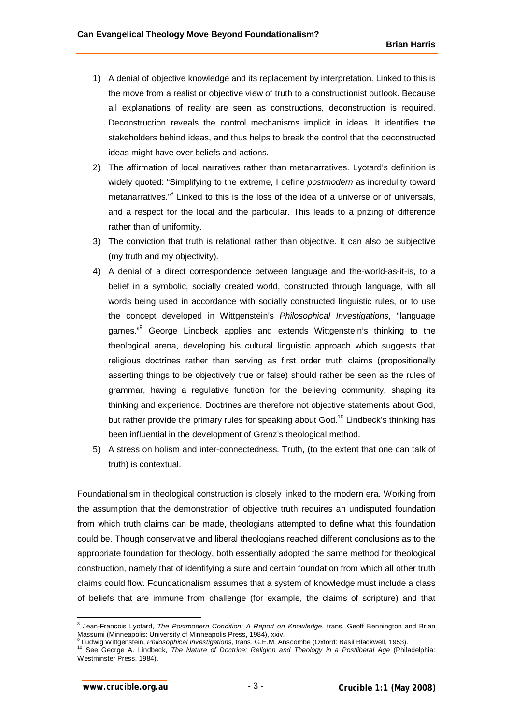- 1) A denial of objective knowledge and its replacement by interpretation. Linked to this is the move from a realist or objective view of truth to a constructionist outlook. Because all explanations of reality are seen as constructions, deconstruction is required. Deconstruction reveals the control mechanisms implicit in ideas. It identifies the stakeholders behind ideas, and thus helps to break the control that the deconstructed ideas might have over beliefs and actions.
- 2) The affirmation of local narratives rather than metanarratives. Lyotard's definition is widely quoted: "Simplifying to the extreme, I define *postmodern* as incredulity toward metanarratives."<sup>8</sup> Linked to this is the loss of the idea of a universe or of universals, and a respect for the local and the particular. This leads to a prizing of difference rather than of uniformity.
- 3) The conviction that truth is relational rather than objective. It can also be subjective (my truth and my objectivity).
- 4) A denial of a direct correspondence between language and the-world-as-it-is, to a belief in a symbolic, socially created world, constructed through language, with all words being used in accordance with socially constructed linguistic rules, or to use the concept developed in Wittgenstein's *Philosophical Investigations*, "language games."<sup>9</sup> George Lindbeck applies and extends Wittgenstein's thinking to the theological arena, developing his cultural linguistic approach which suggests that religious doctrines rather than serving as first order truth claims (propositionally asserting things to be objectively true or false) should rather be seen as the rules of grammar, having a regulative function for the believing community, shaping its thinking and experience. Doctrines are therefore not objective statements about God, but rather provide the primary rules for speaking about God.<sup>10</sup> Lindbeck's thinking has been influential in the development of Grenz's theological method.
- 5) A stress on holism and inter-connectedness. Truth, (to the extent that one can talk of truth) is contextual.

Foundationalism in theological construction is closely linked to the modern era. Working from the assumption that the demonstration of objective truth requires an undisputed foundation from which truth claims can be made, theologians attempted to define what this foundation could be. Though conservative and liberal theologians reached different conclusions as to the appropriate foundation for theology, both essentially adopted the same method for theological construction, namely that of identifying a sure and certain foundation from which all other truth claims could flow. Foundationalism assumes that a system of knowledge must include a class of beliefs that are immune from challenge (for example, the claims of scripture) and that

 8 Jean-Francois Lyotard, *The Postmodern Condition: A Report on Knowledge*, trans. Geoff Bennington and Brian Massumi (Minneapolis: University of Minneapolis Press, 1984), xxiv.

<sup>&</sup>lt;sup>9</sup> Ludwig Wittgenstein, *Philosophical Investigations*, trans. G.E.M. Anscombe (Oxford: Basil Blackwell, 1953).<br><sup>10</sup> See George A. Lindbeck, *The Nature of Doctrine: Religion and Theology in a Postliberal Age* (Philadelph Westminster Press, 1984).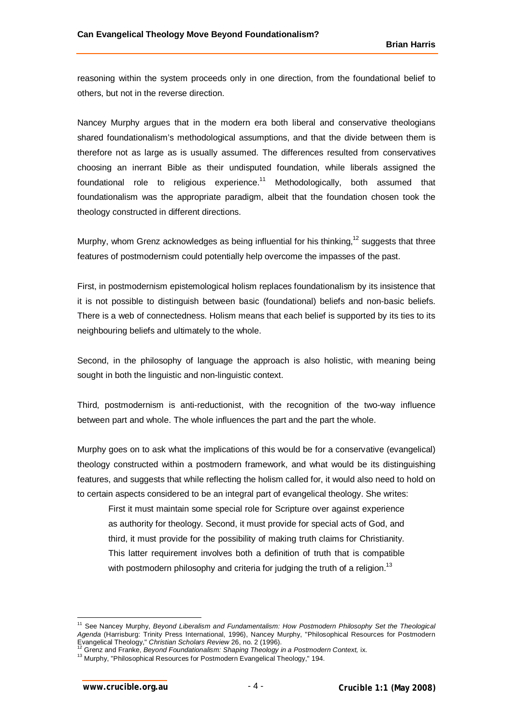reasoning within the system proceeds only in one direction, from the foundational belief to others, but not in the reverse direction.

Nancey Murphy argues that in the modern era both liberal and conservative theologians shared foundationalism's methodological assumptions, and that the divide between them is therefore not as large as is usually assumed. The differences resulted from conservatives choosing an inerrant Bible as their undisputed foundation, while liberals assigned the foundational role to religious experience.<sup>11</sup> Methodologically, both assumed that foundationalism was the appropriate paradigm, albeit that the foundation chosen took the theology constructed in different directions.

Murphy, whom Grenz acknowledges as being influential for his thinking,<sup>12</sup> suggests that three features of postmodernism could potentially help overcome the impasses of the past.

First, in postmodernism epistemological holism replaces foundationalism by its insistence that it is not possible to distinguish between basic (foundational) beliefs and non-basic beliefs. There is a web of connectedness. Holism means that each belief is supported by its ties to its neighbouring beliefs and ultimately to the whole.

Second, in the philosophy of language the approach is also holistic, with meaning being sought in both the linguistic and non-linguistic context.

Third, postmodernism is anti-reductionist, with the recognition of the two-way influence between part and whole. The whole influences the part and the part the whole.

Murphy goes on to ask what the implications of this would be for a conservative (evangelical) theology constructed within a postmodern framework, and what would be its distinguishing features, and suggests that while reflecting the holism called for, it would also need to hold on to certain aspects considered to be an integral part of evangelical theology. She writes:

First it must maintain some special role for Scripture over against experience as authority for theology. Second, it must provide for special acts of God, and third, it must provide for the possibility of making truth claims for Christianity. This latter requirement involves both a definition of truth that is compatible with postmodern philosophy and criteria for judging the truth of a religion.<sup>13</sup>

 $\overline{\phantom{a}}$ <sup>11</sup> See Nancey Murphy, *Beyond Liberalism and Fundamentalism: How Postmodern Philosophy Set the Theological Agenda* (Harrisburg: Trinity Press International, 1996), Nancey Murphy, "Philosophical Resources for Postmodern

Evangelical Theology," *Christian Scholars Review* 26, no. 2 (1996). <sup>12</sup> Grenz and Franke, *Beyond Foundationalism: Shaping Theology in a Postmodern Context,* ix.

<sup>&</sup>lt;sup>13</sup> Murphy, "Philosophical Resources for Postmodern Evangelical Theology," 194.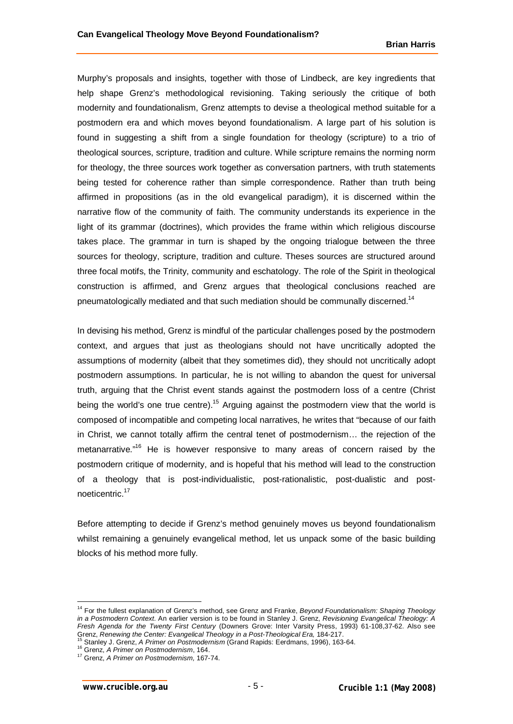Murphy's proposals and insights, together with those of Lindbeck, are key ingredients that help shape Grenz's methodological revisioning. Taking seriously the critique of both modernity and foundationalism, Grenz attempts to devise a theological method suitable for a postmodern era and which moves beyond foundationalism. A large part of his solution is found in suggesting a shift from a single foundation for theology (scripture) to a trio of theological sources, scripture, tradition and culture. While scripture remains the norming norm for theology, the three sources work together as conversation partners, with truth statements being tested for coherence rather than simple correspondence. Rather than truth being affirmed in propositions (as in the old evangelical paradigm), it is discerned within the narrative flow of the community of faith. The community understands its experience in the light of its grammar (doctrines), which provides the frame within which religious discourse takes place. The grammar in turn is shaped by the ongoing trialogue between the three sources for theology, scripture, tradition and culture. Theses sources are structured around three focal motifs, the Trinity, community and eschatology. The role of the Spirit in theological construction is affirmed, and Grenz argues that theological conclusions reached are pneumatologically mediated and that such mediation should be communally discerned.<sup>14</sup>

In devising his method, Grenz is mindful of the particular challenges posed by the postmodern context, and argues that just as theologians should not have uncritically adopted the assumptions of modernity (albeit that they sometimes did), they should not uncritically adopt postmodern assumptions. In particular, he is not willing to abandon the quest for universal truth, arguing that the Christ event stands against the postmodern loss of a centre (Christ being the world's one true centre).<sup>15</sup> Arguing against the postmodern view that the world is composed of incompatible and competing local narratives, he writes that "because of our faith in Christ, we cannot totally affirm the central tenet of postmodernism… the rejection of the metanarrative."<sup>16</sup> He is however responsive to many areas of concern raised by the postmodern critique of modernity, and is hopeful that his method will lead to the construction of a theology that is post-individualistic, post-rationalistic, post-dualistic and postnoeticentric.<sup>17</sup>

Before attempting to decide if Grenz's method genuinely moves us beyond foundationalism whilst remaining a genuinely evangelical method, let us unpack some of the basic building blocks of his method more fully.

 $\overline{\phantom{a}}$ 

<sup>14</sup> For the fullest explanation of Grenz's method, see Grenz and Franke, *Beyond Foundationalism: Shaping Theology in a Postmodern Context*. An earlier version is to be found in Stanley J. Grenz, *Revisioning Evangelical Theology: A Fresh Agenda for the Twenty First Century* (Downers Grove: Inter Varsity Press, 1993) 61-108,37-62. Also see Grenz, *Renewing the Center: Evangelical Theology in a Post-Theological Era,* 184-217.

<sup>15</sup> Stanley J. Grenz, *A Primer on Postmodernism* (Grand Rapids: Eerdmans, 1996), 163-64.

<sup>16</sup> Grenz, *A Primer on Postmodernism*, 164.

<sup>17</sup> Grenz, *A Primer on Postmodernism,* 167-74.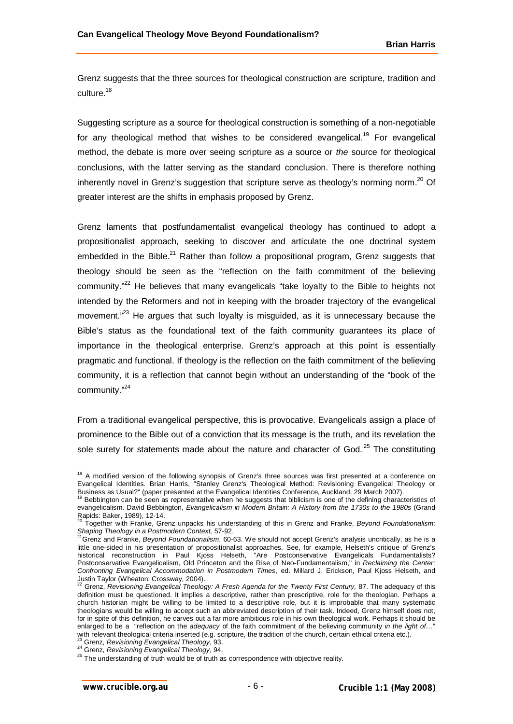Grenz suggests that the three sources for theological construction are scripture, tradition and culture.<sup>18</sup>

Suggesting scripture as a source for theological construction is something of a non-negotiable for any theological method that wishes to be considered evangelical.<sup>19</sup> For evangelical method, the debate is more over seeing scripture as *a* source or *the* source for theological conclusions, with the latter serving as the standard conclusion. There is therefore nothing inherently novel in Grenz's suggestion that scripture serve as theology's norming norm.<sup>20</sup> Of greater interest are the shifts in emphasis proposed by Grenz.

Grenz laments that postfundamentalist evangelical theology has continued to adopt a propositionalist approach, seeking to discover and articulate the one doctrinal system embedded in the Bible.<sup>21</sup> Rather than follow a propositional program, Grenz suggests that theology should be seen as the "reflection on the faith commitment of the believing community."<sup>22</sup> He believes that many evangelicals "take loyalty to the Bible to heights not intended by the Reformers and not in keeping with the broader trajectory of the evangelical movement."<sup>23</sup> He argues that such loyalty is misguided, as it is unnecessary because the Bible's status as the foundational text of the faith community guarantees its place of importance in the theological enterprise. Grenz's approach at this point is essentially pragmatic and functional. If theology is the reflection on the faith commitment of the believing community, it is a reflection that cannot begin without an understanding of the "book of the community."<sup>24</sup>

From a traditional evangelical perspective, this is provocative. Evangelicals assign a place of prominence to the Bible out of a conviction that its message is the truth, and its revelation the sole surety for statements made about the nature and character of  $God.^25$  The constituting

<sup>24</sup> Grenz, *Revisioning Evangelical Theology*, 94.

<sup>&</sup>lt;sup>18</sup> A modified version of the following synopsis of Grenz's three sources was first presented at a conference on Evangelical Identities. Brian Harris, "Stanley Grenz's Theological Method: Revisioning Evangelical Theology or

Business as Usual?" (paper presented at the Evangelical Identities Conference, Auckland, 29 March 2007).<br><sup>19</sup> Bebbington can be seen as representative when he suggests that biblicism is one of the defining characteristics evangelicalism. David Bebbington, *Evangelicalism in Modern Britain: A History from the 1730s to the 1980s* (Grand Rapids: Baker, 1989), 12-14.

<sup>20</sup> Together with Franke, Grenz unpacks his understanding of this in Grenz and Franke, *Beyond Foundationalism: Shaping Theology in a Postmodern Context,* 57-92. <sup>21</sup>Grenz and Franke, *Beyond Foundationalism*, 60-63. We should not accept Grenz's analysis uncritically, as he is a

little one-sided in his presentation of propositionalist approaches. See, for example, Helseth's critique of Grenz's historical reconstruction in Paul Kjoss Helseth, "Are Postconservative Evangelicals Fundamentalists? Postconservative Evangelicalism, Old Princeton and the Rise of Neo-Fundamentalism," in *Reclaiming the Center: Confronting Evangelical Accommodation in Postmodern Times*, ed. Millard J. Erickson, Paul Kjoss Helseth, and

Justin Taylor (Wheaton: Crossway, 2004). <sup>22</sup> Grenz, *Revisioning Evangelical Theology: A Fresh Agenda for the Twenty First Century,* 87. The adequacy of this definition must be questioned. It implies a descriptive, rather than prescriptive, role for the theologian. Perhaps a church historian might be willing to be limited to a descriptive role, but it is improbable that many systematic theologians would be willing to accept such an abbreviated description of their task. Indeed, Grenz himself does not, for in spite of this definition, he carves out a far more ambitious role in his own theological work. Perhaps it should be enlarged to be a "reflection on the *adequacy* of the faith commitment of the believing community *in the light of...* with relevant theological criteria inserted (e.g. scripture, the tradition of the church, certain ethical criteria etc.). <sup>23</sup> Grenz, *Revisioning Evangelical Theology*, 93.

<sup>&</sup>lt;sup>25</sup> The understanding of truth would be of truth as correspondence with objective reality.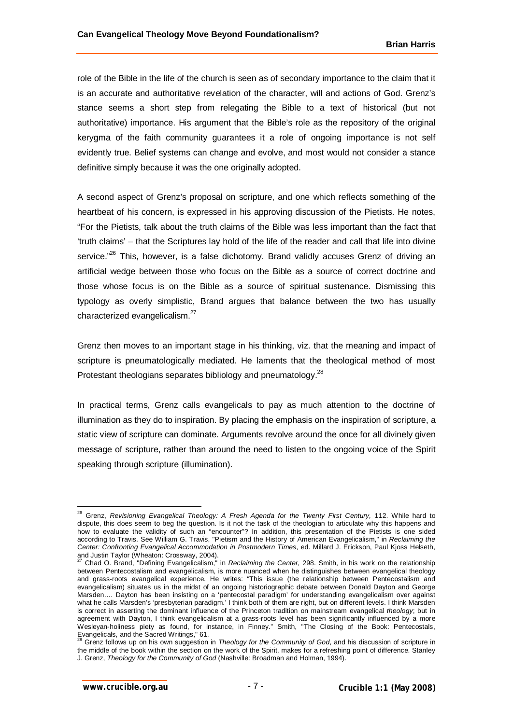role of the Bible in the life of the church is seen as of secondary importance to the claim that it is an accurate and authoritative revelation of the character, will and actions of God. Grenz's stance seems a short step from relegating the Bible to a text of historical (but not authoritative) importance. His argument that the Bible's role as the repository of the original kerygma of the faith community guarantees it a role of ongoing importance is not self evidently true. Belief systems can change and evolve, and most would not consider a stance definitive simply because it was the one originally adopted.

A second aspect of Grenz's proposal on scripture, and one which reflects something of the heartbeat of his concern, is expressed in his approving discussion of the Pietists. He notes, "For the Pietists, talk about the truth claims of the Bible was less important than the fact that 'truth claims' – that the Scriptures lay hold of the life of the reader and call that life into divine service."<sup>26</sup> This, however, is a false dichotomy. Brand validly accuses Grenz of driving an artificial wedge between those who focus on the Bible as a source of correct doctrine and those whose focus is on the Bible as a source of spiritual sustenance. Dismissing this typology as overly simplistic, Brand argues that balance between the two has usually characterized evangelicalism.<sup>27</sup>

Grenz then moves to an important stage in his thinking, viz. that the meaning and impact of scripture is pneumatologically mediated. He laments that the theological method of most Protestant theologians separates bibliology and pneumatology.<sup>28</sup>

In practical terms, Grenz calls evangelicals to pay as much attention to the doctrine of illumination as they do to inspiration. By placing the emphasis on the inspiration of scripture, a static view of scripture can dominate. Arguments revolve around the once for all divinely given message of scripture, rather than around the need to listen to the ongoing voice of the Spirit speaking through scripture (illumination).

<sup>&</sup>lt;sup>26</sup> Grenz, *Revisioning Evangelical Theology: A Fresh Agenda for the Twenty First Century, 112. While hard to* dispute, this does seem to beg the question. Is it not the task of the theologian to articulate why this happens and how to evaluate the validity of such an "encounter"? In addition, this presentation of the Pietists is one sided according to Travis. See William G. Travis, "Pietism and the History of American Evangelicalism," in *Reclaiming the Center: Confronting Evangelical Accommodation in Postmodern Times*, ed. Millard J. Erickson, Paul Kjoss Helseth,

and Justin Taylor (Wheaton: Crossway, 2004). <sup>27</sup> Chad O. Brand, "Defining Evangelicalism," in *Reclaiming the Center,* 298. Smith, in his work on the relationship between Pentecostalism and evangelicalism, is more nuanced when he distinguishes between evangelical theology and grass-roots evangelical experience. He writes: "This issue (the relationship between Pentecostalism and evangelicalism) situates us in the midst of an ongoing historiographic debate between Donald Dayton and George Marsden…. Dayton has been insisting on a 'pentecostal paradigm' for understanding evangelicalism over against what he calls Marsden's 'presbyterian paradigm.' I think both of them are right, but on different levels. I think Marsden is correct in asserting the dominant influence of the Princeton tradition on mainstream evangelical *theology*; but in agreement with Dayton, I think evangelicalism at a grass-roots level has been significantly influenced by a more Wesleyan-holiness piety as found, for instance, in Finney." Smith, "The Closing of the Book: Pentecostals,

Evangelicals, and the Sacred Writings," 61. <sup>28</sup> Grenz follows up on his own suggestion in *Theology for the Community of God*, and his discussion of scripture in the middle of the book within the section on the work of the Spirit, makes for a refreshing point of difference. Stanley J. Grenz, *Theology for the Community of God* (Nashville: Broadman and Holman, 1994).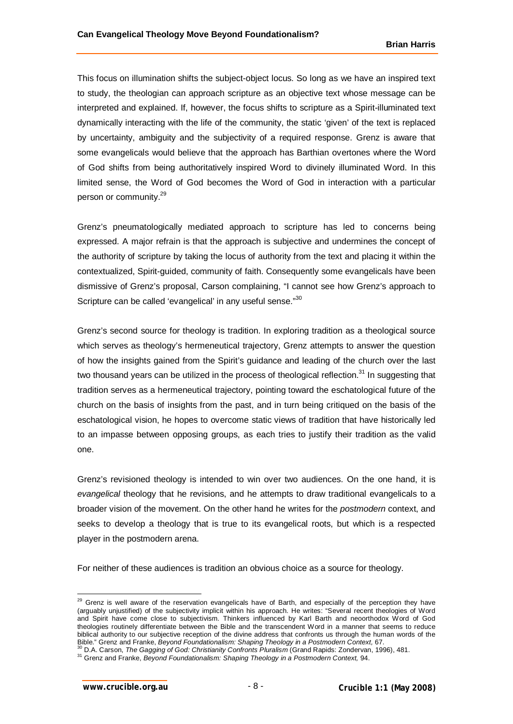This focus on illumination shifts the subject-object locus. So long as we have an inspired text to study, the theologian can approach scripture as an objective text whose message can be interpreted and explained. If, however, the focus shifts to scripture as a Spirit-illuminated text dynamically interacting with the life of the community, the static 'given' of the text is replaced by uncertainty, ambiguity and the subjectivity of a required response. Grenz is aware that some evangelicals would believe that the approach has Barthian overtones where the Word of God shifts from being authoritatively inspired Word to divinely illuminated Word. In this limited sense, the Word of God becomes the Word of God in interaction with a particular person or community.<sup>29</sup>

Grenz's pneumatologically mediated approach to scripture has led to concerns being expressed. A major refrain is that the approach is subjective and undermines the concept of the authority of scripture by taking the locus of authority from the text and placing it within the contextualized, Spirit-guided, community of faith. Consequently some evangelicals have been dismissive of Grenz's proposal, Carson complaining, "I cannot see how Grenz's approach to Scripture can be called 'evangelical' in any useful sense."30

Grenz's second source for theology is tradition. In exploring tradition as a theological source which serves as theology's hermeneutical trajectory, Grenz attempts to answer the question of how the insights gained from the Spirit's guidance and leading of the church over the last two thousand years can be utilized in the process of theological reflection. $31$  In suggesting that tradition serves as a hermeneutical trajectory, pointing toward the eschatological future of the church on the basis of insights from the past, and in turn being critiqued on the basis of the eschatological vision, he hopes to overcome static views of tradition that have historically led to an impasse between opposing groups, as each tries to justify their tradition as the valid one.

Grenz's revisioned theology is intended to win over two audiences. On the one hand, it is *evangelical* theology that he revisions, and he attempts to draw traditional evangelicals to a broader vision of the movement. On the other hand he writes for the *postmodern* context, and seeks to develop a theology that is true to its evangelical roots, but which is a respected player in the postmodern arena.

For neither of these audiences is tradition an obvious choice as a source for theology.

 $\overline{1}$ <sup>29</sup> Grenz is well aware of the reservation evangelicals have of Barth, and especially of the perception they have (arguably unjustified) of the subjectivity implicit within his approach. He writes: "Several recent theologies of Word and Spirit have come close to subjectivism. Thinkers influenced by Karl Barth and neoorthodox Word of God theologies routinely differentiate between the Bible and the transcendent Word in a manner that seems to reduce biblical authority to our subjective reception of the divine address that confronts us through the human words of the Bible." Grenz and Franke, *Beyond Foundationalism: Shaping Theology in a Postmodern Context,* 67. <sup>30</sup> D.A. Carson, *The Gagging of God: Christianity Confronts Pluralism* (Grand Rapids: Zondervan, 1996), 481.

<sup>31</sup> Grenz and Franke, *Beyond Foundationalism: Shaping Theology in a Postmodern Context,* 94.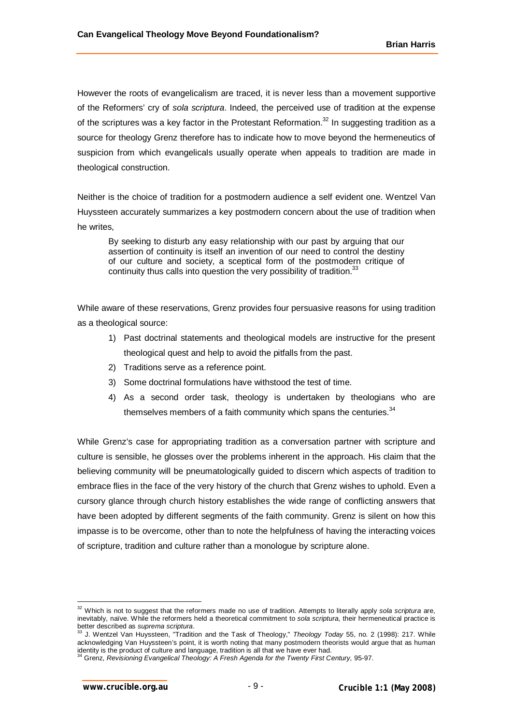However the roots of evangelicalism are traced, it is never less than a movement supportive of the Reformers' cry of *sola scriptura*. Indeed, the perceived use of tradition at the expense of the scriptures was a key factor in the Protestant Reformation.<sup>32</sup> In suggesting tradition as a source for theology Grenz therefore has to indicate how to move beyond the hermeneutics of suspicion from which evangelicals usually operate when appeals to tradition are made in theological construction.

Neither is the choice of tradition for a postmodern audience a self evident one. Wentzel Van Huyssteen accurately summarizes a key postmodern concern about the use of tradition when he writes,

By seeking to disturb any easy relationship with our past by arguing that our assertion of continuity is itself an invention of our need to control the destiny of our culture and society, a sceptical form of the postmodern critique of continuity thus calls into question the very possibility of tradition.<sup>33</sup>

While aware of these reservations, Grenz provides four persuasive reasons for using tradition as a theological source:

- 1) Past doctrinal statements and theological models are instructive for the present theological quest and help to avoid the pitfalls from the past.
- 2) Traditions serve as a reference point.
- 3) Some doctrinal formulations have withstood the test of time.
- 4) As a second order task, theology is undertaken by theologians who are themselves members of a faith community which spans the centuries. $34$

While Grenz's case for appropriating tradition as a conversation partner with scripture and culture is sensible, he glosses over the problems inherent in the approach. His claim that the believing community will be pneumatologically guided to discern which aspects of tradition to embrace flies in the face of the very history of the church that Grenz wishes to uphold. Even a cursory glance through church history establishes the wide range of conflicting answers that have been adopted by different segments of the faith community. Grenz is silent on how this impasse is to be overcome, other than to note the helpfulness of having the interacting voices of scripture, tradition and culture rather than a monologue by scripture alone.

<sup>32</sup> Which is not to suggest that the reformers made no use of tradition. Attempts to literally apply *sola scriptura* are, inevitably, naïve. While the reformers held a theoretical commitment to *sola scriptura*, their hermeneutical practice is better described as *suprema scriptura*.

<sup>33</sup> J. Wentzel Van Huyssteen, "Tradition and the Task of Theology," *Theology Today* 55, no. 2 (1998): 217. While acknowledging Van Huyssteen's point, it is worth noting that many postmodern theorists would argue that as human identity is the product of culture and language, tradition is all that we have ever had.

<sup>34</sup> Grenz, *Revisioning Evangelical Theology: A Fresh Agenda for the Twenty First Century,* 95-97.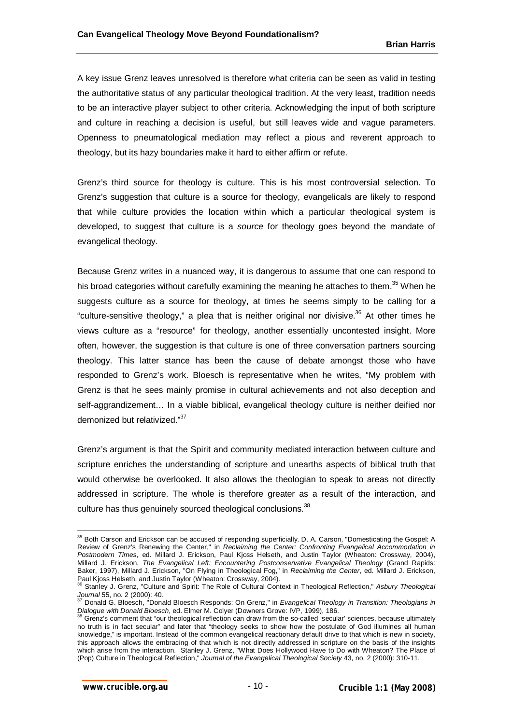A key issue Grenz leaves unresolved is therefore what criteria can be seen as valid in testing the authoritative status of any particular theological tradition. At the very least, tradition needs to be an interactive player subject to other criteria. Acknowledging the input of both scripture and culture in reaching a decision is useful, but still leaves wide and vague parameters. Openness to pneumatological mediation may reflect a pious and reverent approach to theology, but its hazy boundaries make it hard to either affirm or refute.

Grenz's third source for theology is culture. This is his most controversial selection. To Grenz's suggestion that culture is a source for theology, evangelicals are likely to respond that while culture provides the location within which a particular theological system is developed, to suggest that culture is a *source* for theology goes beyond the mandate of evangelical theology.

Because Grenz writes in a nuanced way, it is dangerous to assume that one can respond to his broad categories without carefully examining the meaning he attaches to them.<sup>35</sup> When he suggests culture as a source for theology, at times he seems simply to be calling for a "culture-sensitive theology," a plea that is neither original nor divisive.<sup>36</sup> At other times he views culture as a "resource" for theology, another essentially uncontested insight. More often, however, the suggestion is that culture is one of three conversation partners sourcing theology. This latter stance has been the cause of debate amongst those who have responded to Grenz's work. Bloesch is representative when he writes, "My problem with Grenz is that he sees mainly promise in cultural achievements and not also deception and self-aggrandizement… In a viable biblical, evangelical theology culture is neither deified nor demonized but relativized."<sup>37</sup>

Grenz's argument is that the Spirit and community mediated interaction between culture and scripture enriches the understanding of scripture and unearths aspects of biblical truth that would otherwise be overlooked. It also allows the theologian to speak to areas not directly addressed in scripture. The whole is therefore greater as a result of the interaction, and culture has thus genuinely sourced theological conclusions.<sup>38</sup>

 $35$  Both Carson and Erickson can be accused of responding superficially. D. A. Carson, "Domesticating the Gospel: A Review of Grenz's Renewing the Center," in *Reclaiming the Center: Confronting Evangelical Accommodation in Postmodern Times*, ed. Millard J. Erickson, Paul Kjoss Helseth, and Justin Taylor (Wheaton: Crossway, 2004), Millard J. Erickson, *The Evangelical Left: Encountering Postconservative Evangelical Theology* (Grand Rapids: Baker, 1997), Millard J. Erickson, "On Flying in Theological Fog," in *Reclaiming the Center*, ed. Millard J. Erickson,

Paul Kjoss Helseth, and Justin Taylor (Wheaton: Crossway, 2004). <sup>36</sup> Stanley J. Grenz, "Culture and Spirit: The Role of Cultural Context in Theological Reflection," *Asbury Theological Journal* 55, no. 2 (2000): 40.

<sup>37</sup> Donald G. Bloesch, "Donald Bloesch Responds: On Grenz," in *Evangelical Theology in Transition: Theologians in Dialogue with Donald Bloesch*, ed. Elmer M. Colyer (Downers Grove: IVP, 1999), 186.

Grenz's comment that "our theological reflection can draw from the so-called 'secular' sciences, because ultimately no truth is in fact secular" and later that "theology seeks to show how the postulate of God illumines all human knowledge," is important. Instead of the common evangelical reactionary default drive to that which is new in society, this approach allows the embracing of that which is not directly addressed in scripture on the basis of the insights which arise from the interaction. Stanley J. Grenz, "What Does Hollywood Have to Do with Wheaton? The Place of (Pop) Culture in Theological Reflection," *Journal of the Evangelical Theological Society* 43, no. 2 (2000): 310-11.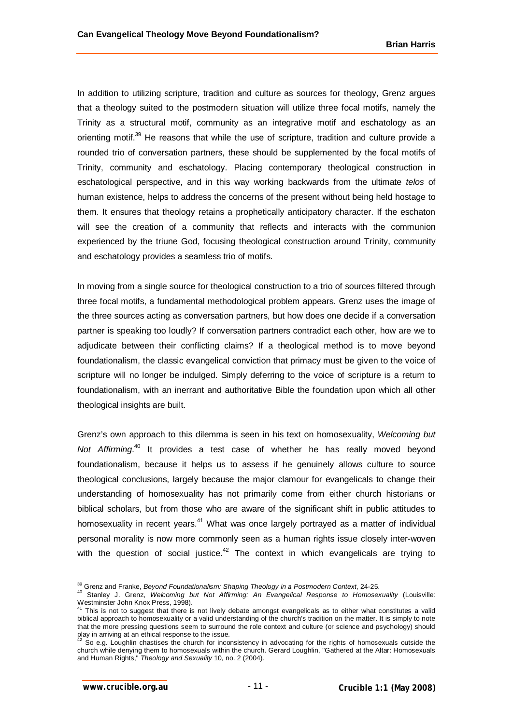In addition to utilizing scripture, tradition and culture as sources for theology, Grenz argues that a theology suited to the postmodern situation will utilize three focal motifs, namely the Trinity as a structural motif, community as an integrative motif and eschatology as an orienting motif.<sup>39</sup> He reasons that while the use of scripture, tradition and culture provide a rounded trio of conversation partners, these should be supplemented by the focal motifs of Trinity, community and eschatology. Placing contemporary theological construction in eschatological perspective, and in this way working backwards from the ultimate *telos* of human existence, helps to address the concerns of the present without being held hostage to them. It ensures that theology retains a prophetically anticipatory character. If the eschaton will see the creation of a community that reflects and interacts with the communion experienced by the triune God, focusing theological construction around Trinity, community and eschatology provides a seamless trio of motifs.

In moving from a single source for theological construction to a trio of sources filtered through three focal motifs, a fundamental methodological problem appears. Grenz uses the image of the three sources acting as conversation partners, but how does one decide if a conversation partner is speaking too loudly? If conversation partners contradict each other, how are we to adjudicate between their conflicting claims? If a theological method is to move beyond foundationalism, the classic evangelical conviction that primacy must be given to the voice of scripture will no longer be indulged. Simply deferring to the voice of scripture is a return to foundationalism, with an inerrant and authoritative Bible the foundation upon which all other theological insights are built.

Grenz's own approach to this dilemma is seen in his text on homosexuality, *Welcoming but*  Not Affirming.<sup>40</sup> It provides a test case of whether he has really moved beyond foundationalism, because it helps us to assess if he genuinely allows culture to source theological conclusions, largely because the major clamour for evangelicals to change their understanding of homosexuality has not primarily come from either church historians or biblical scholars, but from those who are aware of the significant shift in public attitudes to homosexuality in recent years.<sup>41</sup> What was once largely portrayed as a matter of individual personal morality is now more commonly seen as a human rights issue closely inter-woven with the question of social justice.<sup>42</sup> The context in which evangelicals are trying to

<sup>39</sup> Grenz and Franke, *Beyond Foundationalism: Shaping Theology in a Postmodern Context*, 24-25.

<sup>40</sup> Stanley J. Grenz, *Welcoming but Not Affirming: An Evangelical Response to Homosexuality* (Louisville:

Westminster John Knox Press, 1998).<br><sup>41</sup> This is not to suggest that there is not lively debate amongst evangelicals as to either what constitutes a valid biblical approach to homosexuality or a valid understanding of the church's tradition on the matter. It is simply to note that the more pressing questions seem to surround the role context and culture (or science and psychology) should play in arriving at an ethical response to the issue.

 $\sim$  So e.g. Loughlin chastises the church for inconsistency in advocating for the rights of homosexuals outside the church while denying them to homosexuals within the church. Gerard Loughlin, "Gathered at the Altar: Homosexuals and Human Rights," *Theology and Sexuality* 10, no. 2 (2004).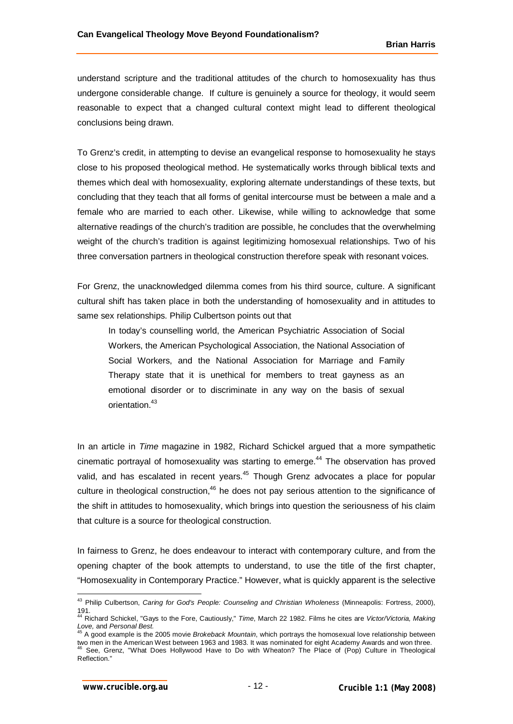understand scripture and the traditional attitudes of the church to homosexuality has thus undergone considerable change. If culture is genuinely a source for theology, it would seem reasonable to expect that a changed cultural context might lead to different theological conclusions being drawn.

To Grenz's credit, in attempting to devise an evangelical response to homosexuality he stays close to his proposed theological method. He systematically works through biblical texts and themes which deal with homosexuality, exploring alternate understandings of these texts, but concluding that they teach that all forms of genital intercourse must be between a male and a female who are married to each other. Likewise, while willing to acknowledge that some alternative readings of the church's tradition are possible, he concludes that the overwhelming weight of the church's tradition is against legitimizing homosexual relationships. Two of his three conversation partners in theological construction therefore speak with resonant voices.

For Grenz, the unacknowledged dilemma comes from his third source, culture. A significant cultural shift has taken place in both the understanding of homosexuality and in attitudes to same sex relationships. Philip Culbertson points out that

In today's counselling world, the American Psychiatric Association of Social Workers, the American Psychological Association, the National Association of Social Workers, and the National Association for Marriage and Family Therapy state that it is unethical for members to treat gayness as an emotional disorder or to discriminate in any way on the basis of sexual orientation.<sup>43</sup>

In an article in *Time* magazine in 1982, Richard Schickel argued that a more sympathetic cinematic portrayal of homosexuality was starting to emerge.<sup>44</sup> The observation has proved valid, and has escalated in recent years.<sup>45</sup> Though Grenz advocates a place for popular culture in theological construction, $46$  he does not pay serious attention to the significance of the shift in attitudes to homosexuality, which brings into question the seriousness of his claim that culture is a source for theological construction.

In fairness to Grenz, he does endeavour to interact with contemporary culture, and from the opening chapter of the book attempts to understand, to use the title of the first chapter, "Homosexuality in Contemporary Practice." However, what is quickly apparent is the selective

 <sup>43</sup> Philip Culbertson, *Caring for God's People: Counseling and Christian Wholeness* (Minneapolis: Fortress, 2000),

<sup>191.</sup> <sup>44</sup> Richard Schickel, "Gays to the Fore, Cautiously," *Time*, March 22 1982. Films he cites are *Victor/Victoria, Making Love,* and *Personal Best.*

<sup>45</sup> A good example is the 2005 movie *Brokeback Mountain*, which portrays the homosexual love relationship between two men in the American West between 1963 and 1983. It was nominated for eight Academy Awards and won three. See, Grenz, "What Does Hollywood Have to Do with Wheaton? The Place of (Pop) Culture in Theological Reflection."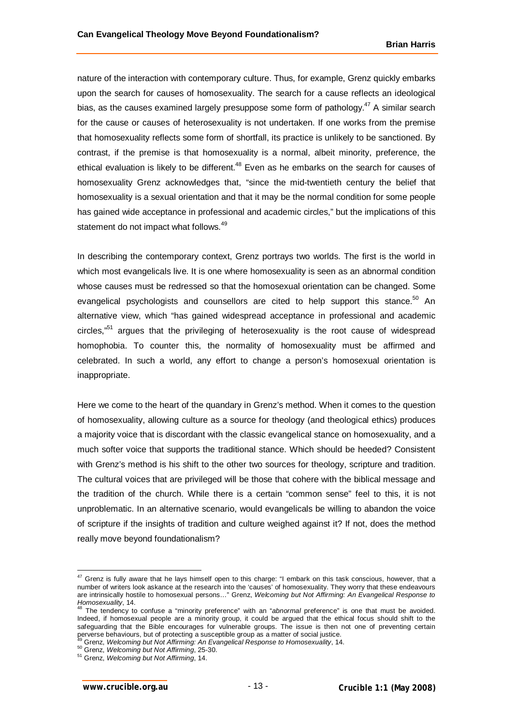nature of the interaction with contemporary culture. Thus, for example, Grenz quickly embarks upon the search for causes of homosexuality. The search for a cause reflects an ideological bias, as the causes examined largely presuppose some form of pathology.<sup>47</sup> A similar search for the cause or causes of heterosexuality is not undertaken. If one works from the premise that homosexuality reflects some form of shortfall, its practice is unlikely to be sanctioned. By contrast, if the premise is that homosexuality is a normal, albeit minority, preference, the ethical evaluation is likely to be different.<sup>48</sup> Even as he embarks on the search for causes of homosexuality Grenz acknowledges that, "since the mid-twentieth century the belief that homosexuality is a sexual orientation and that it may be the normal condition for some people has gained wide acceptance in professional and academic circles," but the implications of this statement do not impact what follows.<sup>49</sup>

In describing the contemporary context, Grenz portrays two worlds. The first is the world in which most evangelicals live. It is one where homosexuality is seen as an abnormal condition whose causes must be redressed so that the homosexual orientation can be changed. Some evangelical psychologists and counsellors are cited to help support this stance.<sup>50</sup> An alternative view, which "has gained widespread acceptance in professional and academic circles,<sup>"51</sup> argues that the privileging of heterosexuality is the root cause of widespread homophobia. To counter this, the normality of homosexuality must be affirmed and celebrated. In such a world, any effort to change a person's homosexual orientation is inappropriate.

Here we come to the heart of the quandary in Grenz's method. When it comes to the question of homosexuality, allowing culture as a source for theology (and theological ethics) produces a majority voice that is discordant with the classic evangelical stance on homosexuality, and a much softer voice that supports the traditional stance. Which should be heeded? Consistent with Grenz's method is his shift to the other two sources for theology, scripture and tradition. The cultural voices that are privileged will be those that cohere with the biblical message and the tradition of the church. While there is a certain "common sense" feel to this, it is not unproblematic. In an alternative scenario, would evangelicals be willing to abandon the voice of scripture if the insights of tradition and culture weighed against it? If not, does the method really move beyond foundationalism?

 $\overline{\phantom{a}}$ 

 $^{47}$  Grenz is fully aware that he lays himself open to this charge: "I embark on this task conscious, however, that a number of writers look askance at the research into the 'causes' of homosexuality. They worry that these endeavours are intrinsically hostile to homosexual persons…" Grenz, *Welcoming but Not Affirming: An Evangelical Response to Homosexuality*, 14. <sup>48</sup> The tendency to confuse a "minority preference" with an "*abnormal* preference" is one that must be avoided.

Indeed, if homosexual people are a minority group, it could be argued that the ethical focus should shift to the safeguarding that the Bible encourages for vulnerable groups. The issue is then not one of preventing certain perverse behaviours, but of protecting a susceptible group as a matter of social justice.

<sup>49</sup> Grenz, *Welcoming but Not Affirming: An Evangelical Response to Homosexuality*, 14.

<sup>50</sup> Grenz, *Welcoming but Not Affirming*, 25-30.

<sup>51</sup> Grenz, *Welcoming but Not Affirming*, 14.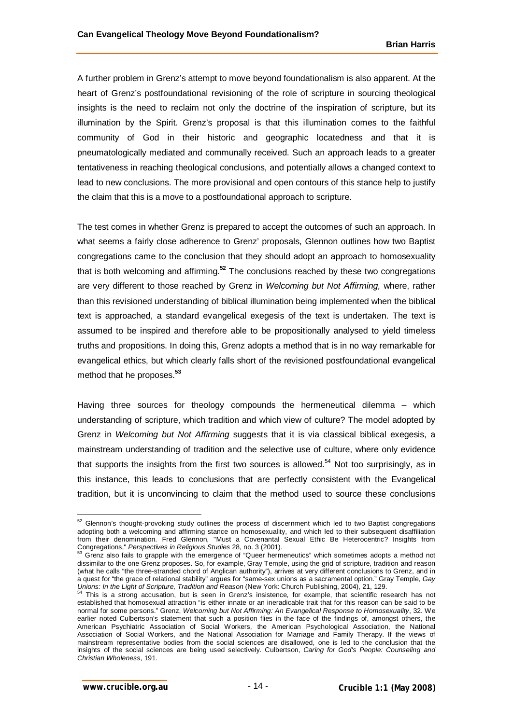A further problem in Grenz's attempt to move beyond foundationalism is also apparent. At the heart of Grenz's postfoundational revisioning of the role of scripture in sourcing theological insights is the need to reclaim not only the doctrine of the inspiration of scripture, but its illumination by the Spirit. Grenz's proposal is that this illumination comes to the faithful community of God in their historic and geographic locatedness and that it is pneumatologically mediated and communally received. Such an approach leads to a greater tentativeness in reaching theological conclusions, and potentially allows a changed context to lead to new conclusions. The more provisional and open contours of this stance help to justify the claim that this is a move to a postfoundational approach to scripture.

The test comes in whether Grenz is prepared to accept the outcomes of such an approach. In what seems a fairly close adherence to Grenz' proposals, Glennon outlines how two Baptist congregations came to the conclusion that they should adopt an approach to homosexuality that is both welcoming and affirming.**<sup>52</sup>** The conclusions reached by these two congregations are very different to those reached by Grenz in *Welcoming but Not Affirming,* where, rather than this revisioned understanding of biblical illumination being implemented when the biblical text is approached, a standard evangelical exegesis of the text is undertaken. The text is assumed to be inspired and therefore able to be propositionally analysed to yield timeless truths and propositions. In doing this, Grenz adopts a method that is in no way remarkable for evangelical ethics, but which clearly falls short of the revisioned postfoundational evangelical method that he proposes.**<sup>53</sup>**

Having three sources for theology compounds the hermeneutical dilemma – which understanding of scripture, which tradition and which view of culture? The model adopted by Grenz in *Welcoming but Not Affirming* suggests that it is via classical biblical exegesis, a mainstream understanding of tradition and the selective use of culture, where only evidence that supports the insights from the first two sources is allowed.<sup>54</sup> Not too surprisingly, as in this instance, this leads to conclusions that are perfectly consistent with the Evangelical tradition, but it is unconvincing to claim that the method used to source these conclusions

 $52$  Glennon's thought-provoking study outlines the process of discernment which led to two Baptist congregations adopting both a welcoming and affirming stance on homosexuality, and which led to their subsequent disaffiliation from their denomination. Fred Glennon, "Must a Covenantal Sexual Ethic Be Heterocentric? Insights from Congregations," *Perspectives in Religious Studies* 28, no. 3 (2001).

<sup>53</sup> Grenz also fails to grapple with the emergence of "Queer hermeneutics" which sometimes adopts a method not dissimilar to the one Grenz proposes. So, for example, Gray Temple, using the grid of scripture, tradition and reason (what he calls "the three-stranded chord of Anglican authority"), arrives at very different conclusions to Grenz, and in a quest for "the grace of relational stability" argues for "same-sex unions as a sacramental option." Gray Temple, *Gay Unions: In the Light of Scripture, Tradition and Reason* (New York: Church Publishing, 2004), 21, 129.<br><sup>54</sup> This is a stream action and *Reason* (New York: Church Publishing, 2004), 21, 129.

This is a strong accusation, but is seen in Grenz's insistence, for example, that scientific research has not established that homosexual attraction "is either innate or an ineradicable trait that for this reason can be said to be normal for some persons." Grenz, *Welcoming but Not Affirming: An Evangelical Response to Homosexuality*, 32. We earlier noted Culbertson's statement that such a position flies in the face of the findings of, amongst others, the American Psychiatric Association of Social Workers, the American Psychological Association, the National Association of Social Workers, and the National Association for Marriage and Family Therapy. If the views of mainstream representative bodies from the social sciences are disallowed, one is led to the conclusion that the insights of the social sciences are being used selectively. Culbertson, *Caring for God's People: Counseling and Christian Wholeness*, 191.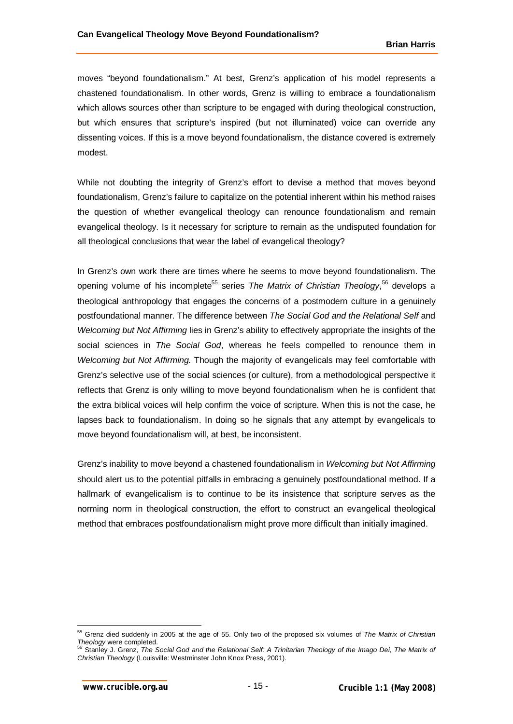moves "beyond foundationalism." At best, Grenz's application of his model represents a chastened foundationalism. In other words, Grenz is willing to embrace a foundationalism which allows sources other than scripture to be engaged with during theological construction, but which ensures that scripture's inspired (but not illuminated) voice can override any dissenting voices. If this is a move beyond foundationalism, the distance covered is extremely modest.

While not doubting the integrity of Grenz's effort to devise a method that moves beyond foundationalism, Grenz's failure to capitalize on the potential inherent within his method raises the question of whether evangelical theology can renounce foundationalism and remain evangelical theology. Is it necessary for scripture to remain as the undisputed foundation for all theological conclusions that wear the label of evangelical theology?

In Grenz's own work there are times where he seems to move beyond foundationalism. The opening volume of his incomplete<sup>55</sup> series The Matrix of Christian Theology,<sup>56</sup> develops a theological anthropology that engages the concerns of a postmodern culture in a genuinely postfoundational manner. The difference between *The Social God and the Relational Self* and *Welcoming but Not Affirming* lies in Grenz's ability to effectively appropriate the insights of the social sciences in *The Social God*, whereas he feels compelled to renounce them in *Welcoming but Not Affirming.* Though the majority of evangelicals may feel comfortable with Grenz's selective use of the social sciences (or culture), from a methodological perspective it reflects that Grenz is only willing to move beyond foundationalism when he is confident that the extra biblical voices will help confirm the voice of scripture. When this is not the case, he lapses back to foundationalism. In doing so he signals that any attempt by evangelicals to move beyond foundationalism will, at best, be inconsistent.

Grenz's inability to move beyond a chastened foundationalism in *Welcoming but Not Affirming* should alert us to the potential pitfalls in embracing a genuinely postfoundational method. If a hallmark of evangelicalism is to continue to be its insistence that scripture serves as the norming norm in theological construction, the effort to construct an evangelical theological method that embraces postfoundationalism might prove more difficult than initially imagined.

<sup>55</sup> Grenz died suddenly in 2005 at the age of 55. Only two of the proposed six volumes of *The Matrix of Christian* 

*Theology* were completed. <sup>56</sup> Stanley J. Grenz, *The Social God and the Relational Self: A Trinitarian Theology of the Imago Dei*, *The Matrix of Christian Theology* (Louisville: Westminster John Knox Press, 2001).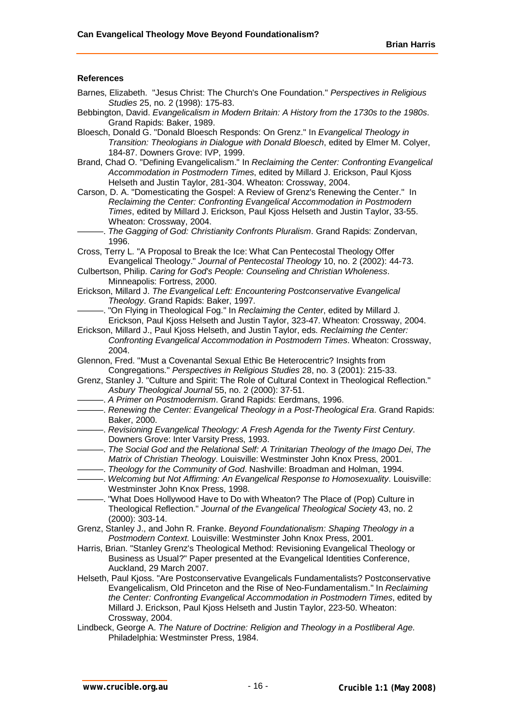## **References**

- Barnes, Elizabeth. "Jesus Christ: The Church's One Foundation." *Perspectives in Religious Studies* 25, no. 2 (1998): 175-83.
- Bebbington, David. *Evangelicalism in Modern Britain: A History from the 1730s to the 1980s*. Grand Rapids: Baker, 1989.
- Bloesch, Donald G. "Donald Bloesch Responds: On Grenz." In *Evangelical Theology in Transition: Theologians in Dialogue with Donald Bloesch*, edited by Elmer M. Colyer, 184-87. Downers Grove: IVP, 1999.
- Brand, Chad O. "Defining Evangelicalism." In *Reclaiming the Center: Confronting Evangelical Accommodation in Postmodern Times*, edited by Millard J. Erickson, Paul Kjoss Helseth and Justin Taylor, 281-304. Wheaton: Crossway, 2004.
- Carson, D. A. "Domesticating the Gospel: A Review of Grenz's Renewing the Center." In *Reclaiming the Center: Confronting Evangelical Accommodation in Postmodern Times*, edited by Millard J. Erickson, Paul Kjoss Helseth and Justin Taylor, 33-55. Wheaton: Crossway, 2004.
	- ———. *The Gagging of God: Christianity Confronts Pluralism*. Grand Rapids: Zondervan, 1996.

Cross, Terry L. "A Proposal to Break the Ice: What Can Pentecostal Theology Offer Evangelical Theology." *Journal of Pentecostal Theology* 10, no. 2 (2002): 44-73.

- Culbertson, Philip. *Caring for God's People: Counseling and Christian Wholeness*. Minneapolis: Fortress, 2000.
- Erickson, Millard J. *The Evangelical Left: Encountering Postconservative Evangelical Theology*. Grand Rapids: Baker, 1997.
- ———. "On Flying in Theological Fog." In *Reclaiming the Center*, edited by Millard J. Erickson, Paul Kjoss Helseth and Justin Taylor, 323-47. Wheaton: Crossway, 2004.
- Erickson, Millard J., Paul Kjoss Helseth, and Justin Taylor, eds. *Reclaiming the Center: Confronting Evangelical Accommodation in Postmodern Times*. Wheaton: Crossway, 2004.
- Glennon, Fred. "Must a Covenantal Sexual Ethic Be Heterocentric? Insights from Congregations." *Perspectives in Religious Studies* 28, no. 3 (2001): 215-33.
- Grenz, Stanley J. "Culture and Spirit: The Role of Cultural Context in Theological Reflection." *Asbury Theological Journal* 55, no. 2 (2000): 37-51.
- ———. *A Primer on Postmodernism*. Grand Rapids: Eerdmans, 1996.
- ———. *Renewing the Center: Evangelical Theology in a Post-Theological Era*. Grand Rapids: Baker, 2000.
- ———. *Revisioning Evangelical Theology: A Fresh Agenda for the Twenty First Century*. Downers Grove: Inter Varsity Press, 1993.
- ———. *The Social God and the Relational Self: A Trinitarian Theology of the Imago Dei*, *The Matrix of Christian Theology*. Louisville: Westminster John Knox Press, 2001.
- ———. *Theology for the Community of God*. Nashville: Broadman and Holman, 1994.
- ———. *Welcoming but Not Affirming: An Evangelical Response to Homosexuality*. Louisville: Westminster John Knox Press, 1998.
- ———. "What Does Hollywood Have to Do with Wheaton? The Place of (Pop) Culture in Theological Reflection." *Journal of the Evangelical Theological Society* 43, no. 2 (2000): 303-14.
- Grenz, Stanley J., and John R. Franke. *Beyond Foundationalism: Shaping Theology in a Postmodern Context*. Louisville: Westminster John Knox Press, 2001.
- Harris, Brian. "Stanley Grenz's Theological Method: Revisioning Evangelical Theology or Business as Usual?" Paper presented at the Evangelical Identities Conference, Auckland, 29 March 2007.
- Helseth, Paul Kjoss. "Are Postconservative Evangelicals Fundamentalists? Postconservative Evangelicalism, Old Princeton and the Rise of Neo-Fundamentalism." In *Reclaiming the Center: Confronting Evangelical Accommodation in Postmodern Times*, edited by Millard J. Erickson, Paul Kjoss Helseth and Justin Taylor, 223-50. Wheaton: Crossway, 2004.
- Lindbeck, George A. *The Nature of Doctrine: Religion and Theology in a Postliberal Age*. Philadelphia: Westminster Press, 1984.